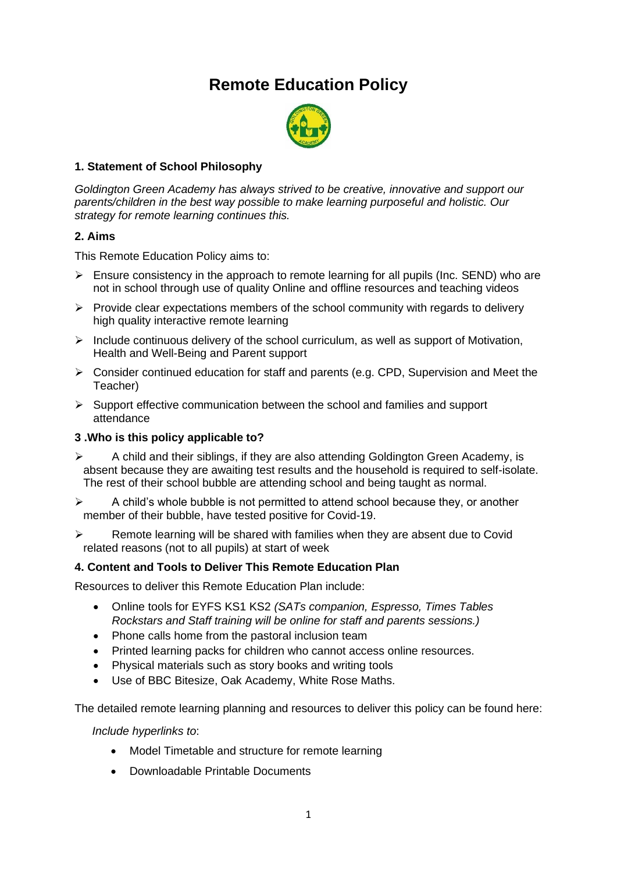# **Remote Education Policy**



# **1. Statement of School Philosophy**

*Goldington Green Academy has always strived to be creative, innovative and support our parents/children in the best way possible to make learning purposeful and holistic. Our strategy for remote learning continues this.* 

#### **2. Aims**

This Remote Education Policy aims to:

- $\triangleright$  Ensure consistency in the approach to remote learning for all pupils (Inc. SEND) who are not in school through use of quality Online and offline resources and teaching videos
- $\triangleright$  Provide clear expectations members of the school community with regards to delivery high quality interactive remote learning
- $\triangleright$  Include continuous delivery of the school curriculum, as well as support of Motivation, Health and Well-Being and Parent support
- ➢ Consider continued education for staff and parents (e.g. CPD, Supervision and Meet the Teacher)
- ➢ Support effective communication between the school and families and support attendance

#### **3 .Who is this policy applicable to?**

- $\triangleright$  A child and their siblings, if they are also attending Goldington Green Academy, is absent because they are awaiting test results and the household is required to self-isolate. The rest of their school bubble are attending school and being taught as normal.
- $\triangleright$  A child's whole bubble is not permitted to attend school because they, or another member of their bubble, have tested positive for Covid-19.
- ➢ Remote learning will be shared with families when they are absent due to Covid related reasons (not to all pupils) at start of week

#### **4. Content and Tools to Deliver This Remote Education Plan**

Resources to deliver this Remote Education Plan include:

- Online tools for EYFS KS1 KS2 *(SATs companion, Espresso, Times Tables Rockstars and Staff training will be online for staff and parents sessions.)*
- Phone calls home from the pastoral inclusion team
- Printed learning packs for children who cannot access online resources.
- Physical materials such as story books and writing tools
- Use of BBC Bitesize, Oak Academy, White Rose Maths.

The detailed remote learning planning and resources to deliver this policy can be found here:

*Include hyperlinks to*:

- Model Timetable and structure for remote learning
- Downloadable Printable Documents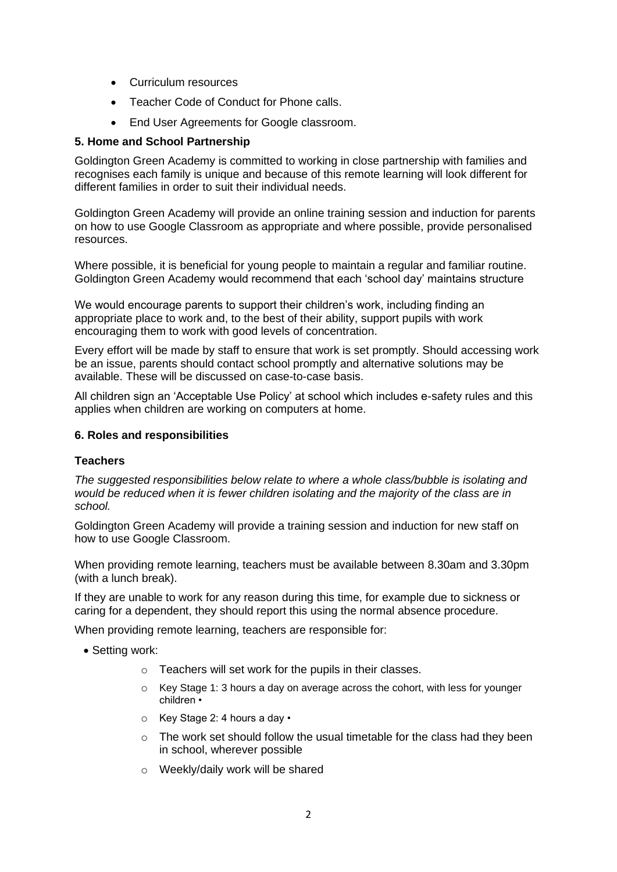- Curriculum resources
- Teacher Code of Conduct for Phone calls.
- End User Agreements for Google classroom.

#### **5. Home and School Partnership**

Goldington Green Academy is committed to working in close partnership with families and recognises each family is unique and because of this remote learning will look different for different families in order to suit their individual needs.

Goldington Green Academy will provide an online training session and induction for parents on how to use Google Classroom as appropriate and where possible, provide personalised resources.

Where possible, it is beneficial for young people to maintain a regular and familiar routine. Goldington Green Academy would recommend that each 'school day' maintains structure

We would encourage parents to support their children's work, including finding an appropriate place to work and, to the best of their ability, support pupils with work encouraging them to work with good levels of concentration.

Every effort will be made by staff to ensure that work is set promptly. Should accessing work be an issue, parents should contact school promptly and alternative solutions may be available. These will be discussed on case-to-case basis.

All children sign an 'Acceptable Use Policy' at school which includes e-safety rules and this applies when children are working on computers at home.

#### **6. Roles and responsibilities**

#### **Teachers**

*The suggested responsibilities below relate to where a whole class/bubble is isolating and would be reduced when it is fewer children isolating and the majority of the class are in school.*

Goldington Green Academy will provide a training session and induction for new staff on how to use Google Classroom.

When providing remote learning, teachers must be available between 8.30am and 3.30pm (with a lunch break).

If they are unable to work for any reason during this time, for example due to sickness or caring for a dependent, they should report this using the normal absence procedure.

When providing remote learning, teachers are responsible for:

- Setting work:
	- o Teachers will set work for the pupils in their classes.
	- $\circ$  Key Stage 1: 3 hours a day on average across the cohort, with less for younger children •
	- o Key Stage 2: 4 hours a day •
	- $\circ$  The work set should follow the usual timetable for the class had they been in school, wherever possible
	- o Weekly/daily work will be shared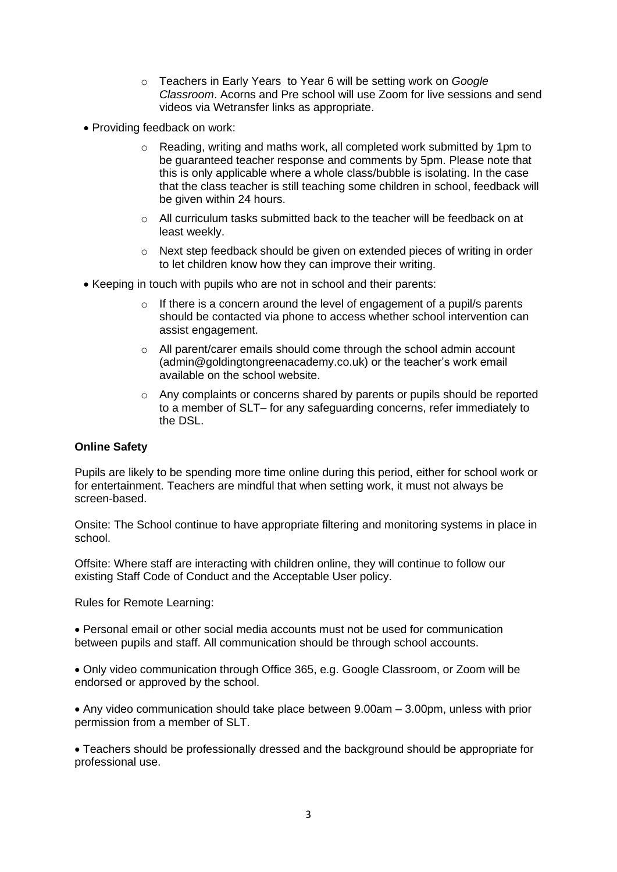- o Teachers in Early Years to Year 6 will be setting work on *Google Classroom*. Acorns and Pre school will use Zoom for live sessions and send videos via Wetransfer links as appropriate.
- Providing feedback on work:
	- o Reading, writing and maths work, all completed work submitted by 1pm to be guaranteed teacher response and comments by 5pm. Please note that this is only applicable where a whole class/bubble is isolating. In the case that the class teacher is still teaching some children in school, feedback will be given within 24 hours.
	- o All curriculum tasks submitted back to the teacher will be feedback on at least weekly.
	- $\circ$  Next step feedback should be given on extended pieces of writing in order to let children know how they can improve their writing.
- Keeping in touch with pupils who are not in school and their parents:
	- $\circ$  If there is a concern around the level of engagement of a pupil/s parents should be contacted via phone to access whether school intervention can assist engagement.
	- $\circ$  All parent/carer emails should come through the school admin account (admin@goldingtongreenacademy.co.uk) or the teacher's work email available on the school website.
	- o Any complaints or concerns shared by parents or pupils should be reported to a member of SLT– for any safeguarding concerns, refer immediately to the DSL.

# **Online Safety**

Pupils are likely to be spending more time online during this period, either for school work or for entertainment. Teachers are mindful that when setting work, it must not always be screen-based.

Onsite: The School continue to have appropriate filtering and monitoring systems in place in school.

Offsite: Where staff are interacting with children online, they will continue to follow our existing Staff Code of Conduct and the Acceptable User policy.

Rules for Remote Learning:

• Personal email or other social media accounts must not be used for communication between pupils and staff. All communication should be through school accounts.

• Only video communication through Office 365, e.g. Google Classroom, or Zoom will be endorsed or approved by the school.

• Any video communication should take place between 9.00am – 3.00pm, unless with prior permission from a member of SLT.

• Teachers should be professionally dressed and the background should be appropriate for professional use.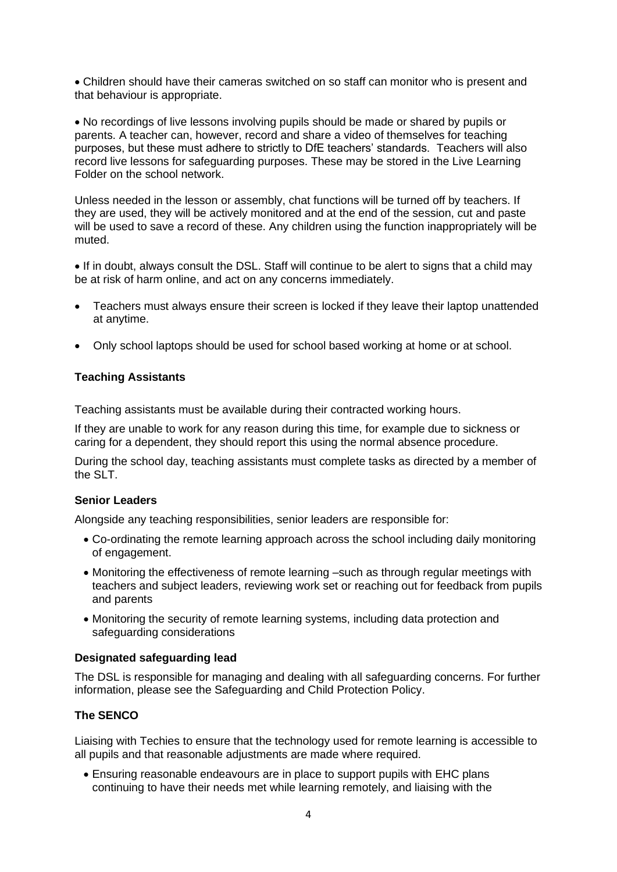• Children should have their cameras switched on so staff can monitor who is present and that behaviour is appropriate.

• No recordings of live lessons involving pupils should be made or shared by pupils or parents. A teacher can, however, record and share a video of themselves for teaching purposes, but these must adhere to strictly to DfE teachers' standards. Teachers will also record live lessons for safeguarding purposes. These may be stored in the Live Learning Folder on the school network.

Unless needed in the lesson or assembly, chat functions will be turned off by teachers. If they are used, they will be actively monitored and at the end of the session, cut and paste will be used to save a record of these. Any children using the function inappropriately will be muted.

• If in doubt, always consult the DSL. Staff will continue to be alert to signs that a child may be at risk of harm online, and act on any concerns immediately.

- Teachers must always ensure their screen is locked if they leave their laptop unattended at anytime.
- Only school laptops should be used for school based working at home or at school.

# **Teaching Assistants**

Teaching assistants must be available during their contracted working hours.

If they are unable to work for any reason during this time, for example due to sickness or caring for a dependent, they should report this using the normal absence procedure.

During the school day, teaching assistants must complete tasks as directed by a member of the SLT.

# **Senior Leaders**

Alongside any teaching responsibilities, senior leaders are responsible for:

- Co-ordinating the remote learning approach across the school including daily monitoring of engagement.
- Monitoring the effectiveness of remote learning –such as through regular meetings with teachers and subject leaders, reviewing work set or reaching out for feedback from pupils and parents
- Monitoring the security of remote learning systems, including data protection and safeguarding considerations

# **Designated safeguarding lead**

The DSL is responsible for managing and dealing with all safeguarding concerns. For further information, please see the Safeguarding and Child Protection Policy.

# **The SENCO**

Liaising with Techies to ensure that the technology used for remote learning is accessible to all pupils and that reasonable adjustments are made where required.

• Ensuring reasonable endeavours are in place to support pupils with EHC plans continuing to have their needs met while learning remotely, and liaising with the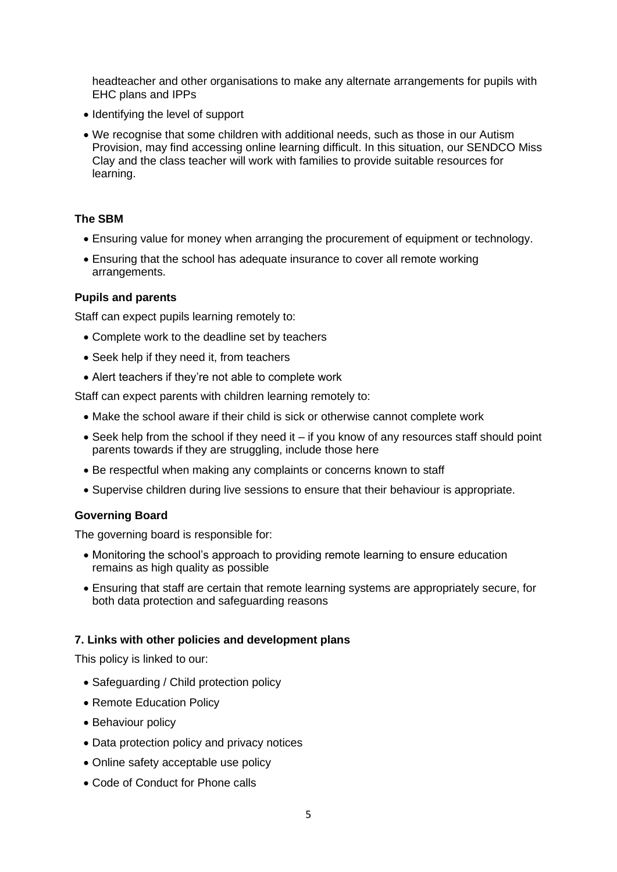headteacher and other organisations to make any alternate arrangements for pupils with EHC plans and IPPs

- Identifying the level of support
- We recognise that some children with additional needs, such as those in our Autism Provision, may find accessing online learning difficult. In this situation, our SENDCO Miss Clay and the class teacher will work with families to provide suitable resources for learning.

#### **The SBM**

- Ensuring value for money when arranging the procurement of equipment or technology.
- Ensuring that the school has adequate insurance to cover all remote working arrangements.

#### **Pupils and parents**

Staff can expect pupils learning remotely to:

- Complete work to the deadline set by teachers
- Seek help if they need it, from teachers
- Alert teachers if they're not able to complete work

Staff can expect parents with children learning remotely to:

- Make the school aware if their child is sick or otherwise cannot complete work
- Seek help from the school if they need it if you know of any resources staff should point parents towards if they are struggling, include those here
- Be respectful when making any complaints or concerns known to staff
- Supervise children during live sessions to ensure that their behaviour is appropriate.

# **Governing Board**

The governing board is responsible for:

- Monitoring the school's approach to providing remote learning to ensure education remains as high quality as possible
- Ensuring that staff are certain that remote learning systems are appropriately secure, for both data protection and safeguarding reasons

# **7. Links with other policies and development plans**

This policy is linked to our:

- Safeguarding / Child protection policy
- Remote Education Policy
- Behaviour policy
- Data protection policy and privacy notices
- Online safety acceptable use policy
- Code of Conduct for Phone calls